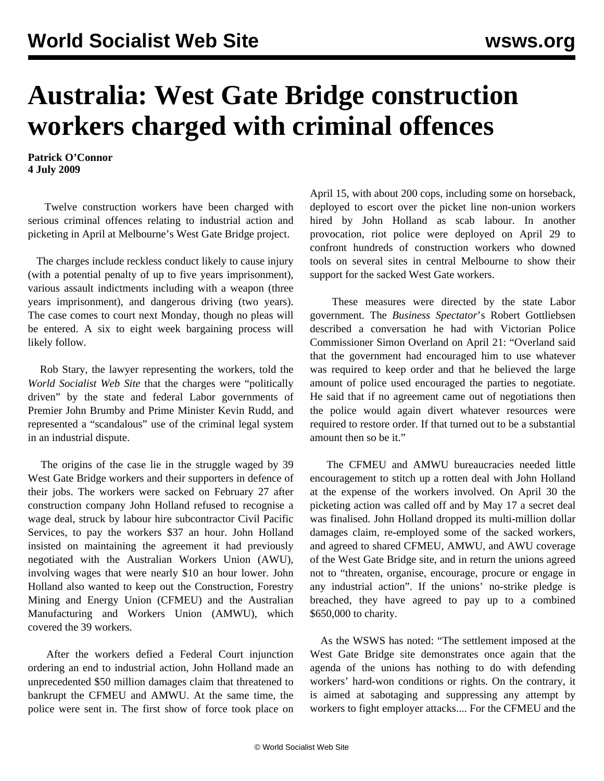## **Australia: West Gate Bridge construction workers charged with criminal offences**

**Patrick O'Connor 4 July 2009**

 Twelve construction workers have been charged with serious criminal offences relating to industrial action and picketing in April at Melbourne's West Gate Bridge project.

 The charges include reckless conduct likely to cause injury (with a potential penalty of up to five years imprisonment), various assault indictments including with a weapon (three years imprisonment), and dangerous driving (two years). The case comes to court next Monday, though no pleas will be entered. A six to eight week bargaining process will likely follow.

 Rob Stary, the lawyer representing the workers, told the *World Socialist Web Site* that the charges were "politically driven" by the state and federal Labor governments of Premier John Brumby and Prime Minister Kevin Rudd, and represented a "scandalous" use of the criminal legal system in an industrial dispute.

 The origins of the case lie in the struggle waged by 39 West Gate Bridge workers and their supporters in defence of their jobs. The workers were sacked on February 27 after construction company John Holland refused to recognise a wage deal, struck by labour hire subcontractor Civil Pacific Services, to pay the workers \$37 an hour. John Holland insisted on maintaining the agreement it had previously negotiated with the Australian Workers Union (AWU), involving wages that were nearly \$10 an hour lower. John Holland also wanted to keep out the Construction, Forestry Mining and Energy Union (CFMEU) and the Australian Manufacturing and Workers Union (AMWU), which covered the 39 workers.

 After the workers defied a Federal Court injunction ordering an end to industrial action, John Holland made an unprecedented \$50 million damages claim that threatened to bankrupt the CFMEU and AMWU. At the same time, the police were sent in. The first show of force took place on April 15, with about 200 cops, including some on horseback, deployed to escort over the picket line non-union workers hired by John Holland as scab labour. In another provocation, riot police were deployed on April 29 to confront hundreds of construction workers who downed tools on several sites in central Melbourne to show their support for the sacked West Gate workers.

 These measures were directed by the state Labor government. The *Business Spectator*'s Robert Gottliebsen described a conversation he had with Victorian Police Commissioner Simon Overland on April 21: "Overland said that the government had encouraged him to use whatever was required to keep order and that he believed the large amount of police used encouraged the parties to negotiate. He said that if no agreement came out of negotiations then the police would again divert whatever resources were required to restore order. If that turned out to be a substantial amount then so be it."

 The CFMEU and AMWU bureaucracies needed little encouragement to stitch up a rotten deal with John Holland at the expense of the workers involved. On April 30 the picketing action was called off and by May 17 a secret deal was finalised. John Holland dropped its multi-million dollar damages claim, re-employed some of the sacked workers, and agreed to shared CFMEU, AMWU, and AWU coverage of the West Gate Bridge site, and in return the unions agreed not to "threaten, organise, encourage, procure or engage in any industrial action". If the unions' no-strike pledge is breached, they have agreed to pay up to a combined \$650,000 to charity.

 As the WSWS has noted: "The settlement imposed at the West Gate Bridge site demonstrates once again that the agenda of the unions has nothing to do with defending workers' hard-won conditions or rights. On the contrary, it is aimed at sabotaging and suppressing any attempt by workers to fight employer attacks.... For the CFMEU and the